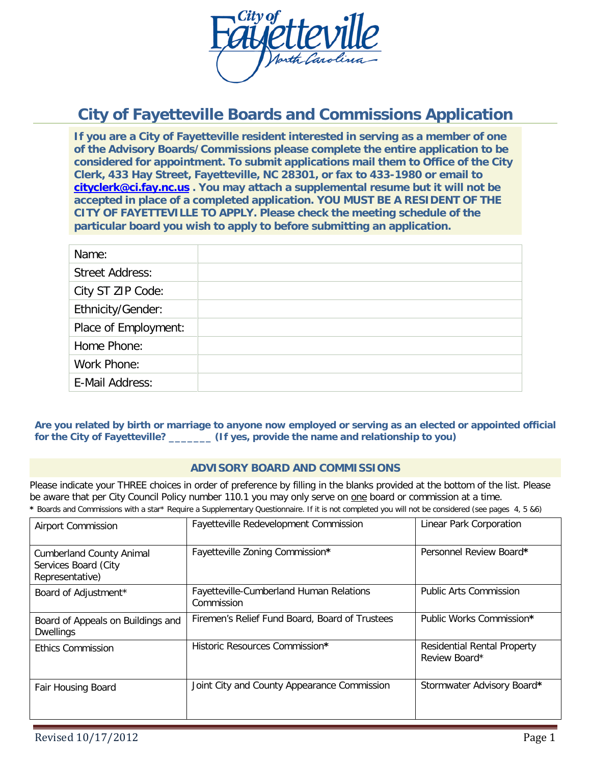

# **City of Fayetteville Boards and Commissions Application**

**If you are a City of Fayetteville resident interested in serving as a member of one of the Advisory Boards/Commissions please complete the entire application to be considered for appointment. To submit applications mail them to Office of the City Clerk, 433 Hay Street, Fayetteville, NC 28301, or fax to 433-1980 or email to [cityclerk@ci.fay.nc.us](mailto:cityclerk@ci.fay.nc.us) . You may attach a supplemental resume but it will not be accepted in place of a completed application. YOU MUST BE A RESIDENT OF THE CITY OF FAYETTEVILLE TO APPLY. Please check the meeting schedule of the particular board you wish to apply to before submitting an application.**

| Name:                  |  |
|------------------------|--|
| <b>Street Address:</b> |  |
| City ST ZIP Code:      |  |
| Ethnicity/Gender:      |  |
| Place of Employment:   |  |
| Home Phone:            |  |
| Work Phone:            |  |
| E-Mail Address:        |  |
|                        |  |

**Are you related by birth or marriage to anyone now employed or serving as an elected or appointed official for the City of Fayetteville? \_\_\_\_\_\_\_ (If yes, provide the name and relationship to you)**

#### **ADVISORY BOARD AND COMMISSIONS**

Please indicate your THREE choices in order of preference by filling in the blanks provided at the bottom of the list. Please be aware that per City Council Policy number 110.1 you may only serve on one board or commission at a time.

| * Boards and Commissions with a star* Require a Supplementary Questionnaire. If it is not completed you will not be considered (see pages 4, 5 &6) |  |  |
|----------------------------------------------------------------------------------------------------------------------------------------------------|--|--|
|----------------------------------------------------------------------------------------------------------------------------------------------------|--|--|

| <b>Airport Commission</b>                                                  | Fayetteville Redevelopment Commission                 | Linear Park Corporation                             |
|----------------------------------------------------------------------------|-------------------------------------------------------|-----------------------------------------------------|
| <b>Cumberland County Animal</b><br>Services Board (City<br>Representative) | Fayetteville Zoning Commission*                       | Personnel Review Board*                             |
| Board of Adjustment*                                                       | Fayetteville-Cumberland Human Relations<br>Commission | Public Arts Commission                              |
| Board of Appeals on Buildings and<br><b>Dwellings</b>                      | Firemen's Relief Fund Board, Board of Trustees        | Public Works Commission*                            |
| <b>Ethics Commission</b>                                                   | Historic Resources Commission*                        | <b>Residential Rental Property</b><br>Review Board* |
| Fair Housing Board                                                         | Joint City and County Appearance Commission           | Stormwater Advisory Board*                          |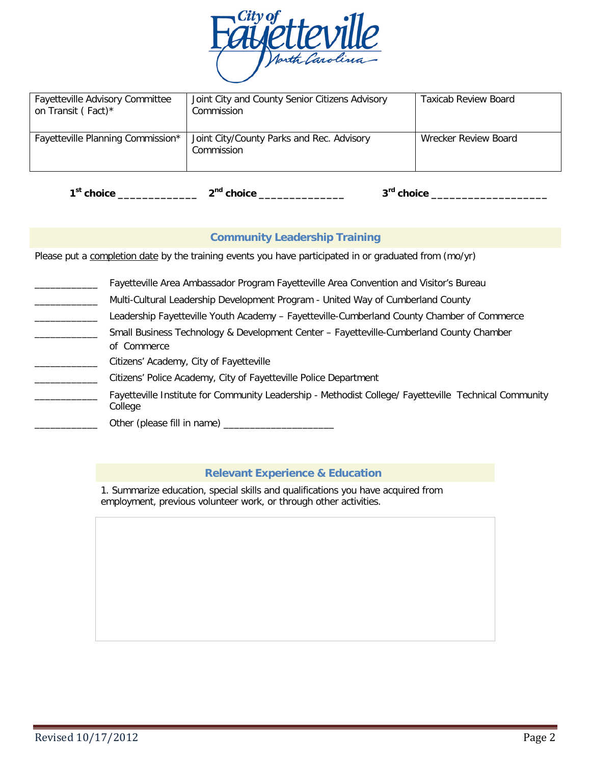

| <b>Fayetteville Advisory Committee</b><br>on Transit (Fact)* | Joint City and County Senior Citizens Advisory<br>Commission | <b>Taxicab Review Board</b> |
|--------------------------------------------------------------|--------------------------------------------------------------|-----------------------------|
| Fayetteville Planning Commission*                            | Joint City/County Parks and Rec. Advisory<br>Commission      | Wrecker Review Board        |

| 1 <sup>st</sup> choice | ີ <sup>າ¤d</sup> choice | ີ <sup>າrd</sup> choice<br>______ |
|------------------------|-------------------------|-----------------------------------|
|------------------------|-------------------------|-----------------------------------|

## **Community Leadership Training**

Please put a completion date by the training events you have participated in or graduated from (mo/yr)

|  |  |  | Fayetteville Area Ambassador Program Fayetteville Area Convention and Visitor's Bureau |
|--|--|--|----------------------------------------------------------------------------------------|
|  |  |  |                                                                                        |

- Multi-Cultural Leadership Development Program United Way of Cumberland County
- Leadership Fayetteville Youth Academy Fayetteville-Cumberland County Chamber of Commerce
- Small Business Technology & Development Center Fayetteville-Cumberland County Chamber of Commerce
	- Citizens' Academy, City of Fayetteville
		- Citizens' Police Academy, City of Fayetteville Police Department
	- Fayetteville Institute for Community Leadership Methodist College/ Fayetteville Technical Community College

\_\_\_\_\_\_\_\_\_\_\_\_ Other (please fill in name) \_\_\_\_\_\_\_\_\_\_\_\_\_\_\_\_\_\_\_\_\_

## **Relevant Experience & Education**

1. Summarize education, special skills and qualifications you have acquired from employment, previous volunteer work, or through other activities.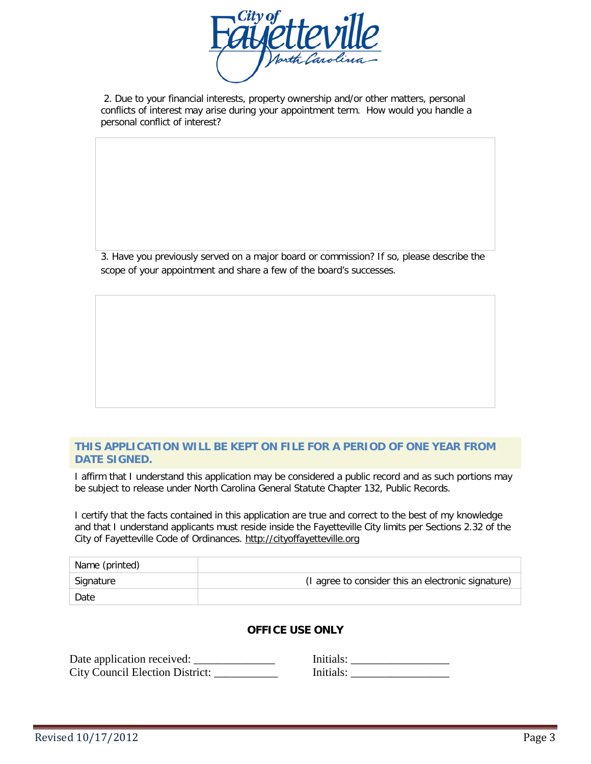

2. Due to your financial interests, property ownership and/or other matters, personal conflicts of interest may arise during your appointment term. How would you handle a personal conflict of interest?

3. Have you previously served on a major board or commission? If so, please describe the scope of your appointment and share a few of the board's successes.

#### **THIS APPLICATION WILL BE KEPT ON FILE FOR A PERIOD OF ONE YEAR FROM DATE SIGNED.**

I affirm that I understand this application may be considered a public record and as such portions may be subject to release under North Carolina General Statute Chapter 132, Public Records.

I certify that the facts contained in this application are true and correct to the best of my knowledge and that I understand applicants must reside inside the Fayetteville City limits per Sections 2.32 of the City of Fayetteville Code of Ordinances. http://cityoffayetteville.org

| Name (printed) |                                                    |
|----------------|----------------------------------------------------|
| Signature      | (I agree to consider this an electronic signature) |
| Date           |                                                    |

## **OFFICE USE ONLY**

| Date application received:      | Initials: |
|---------------------------------|-----------|
| City Council Election District: | Initials: |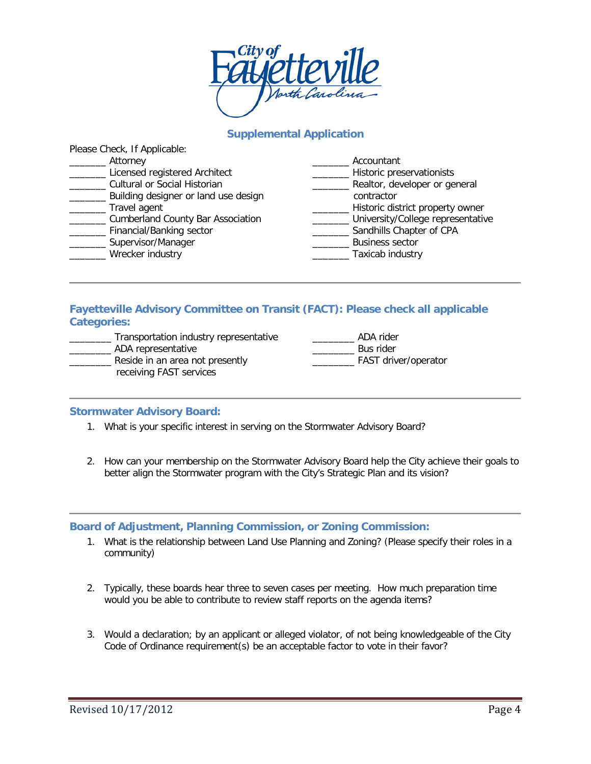

# **Supplemental Application**

| Please Crieck, IT Applicable:            |                                   |
|------------------------------------------|-----------------------------------|
| Attorney                                 | Accountant                        |
| Licensed registered Architect            | Historic preservationists         |
| Cultural or Social Historian             | Realtor, developer or general     |
| Building designer or land use design     | contractor                        |
| Travel agent                             | Historic district property owner  |
| <b>Cumberland County Bar Association</b> | University/College representative |
| Financial/Banking sector                 | Sandhills Chapter of CPA          |
| Supervisor/Manager                       | <b>Business sector</b>            |
| Wrecker industry                         | Taxicab industry                  |
|                                          |                                   |

## **Fayetteville Advisory Committee on Transit (FACT): Please check all applicable Categories:**

| Transportation industry representative | ADA rider            |
|----------------------------------------|----------------------|
| ADA representative                     | Bus rider            |
| Reside in an area not presently        | FAST driver/operator |
| receiving FAST services                |                      |

#### **Stormwater Advisory Board:**

Please Check, If Applicable:

- 1. What is your specific interest in serving on the Stormwater Advisory Board?
- 2. How can your membership on the Stormwater Advisory Board help the City achieve their goals to better align the Stormwater program with the City's Strategic Plan and its vision?

#### **Board of Adjustment, Planning Commission, or Zoning Commission:**

- 1. What is the relationship between Land Use Planning and Zoning? (Please specify their roles in a community)
- 2. Typically, these boards hear three to seven cases per meeting. How much preparation time would you be able to contribute to review staff reports on the agenda items?
- 3. Would a declaration; by an applicant or alleged violator, of not being knowledgeable of the City Code of Ordinance requirement(s) be an acceptable factor to vote in their favor?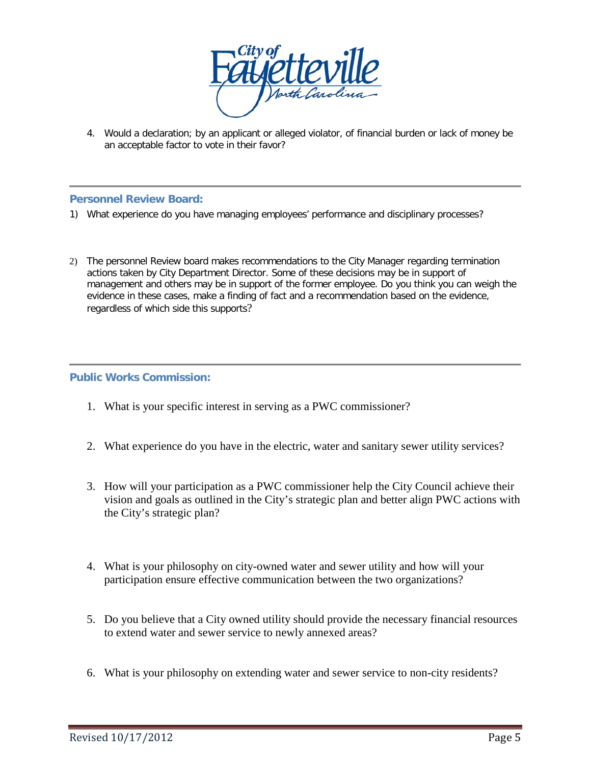

4. Would a declaration; by an applicant or alleged violator, of financial burden or lack of money be an acceptable factor to vote in their favor?

## **Personnel Review Board:**

- 1) What experience do you have managing employees' performance and disciplinary processes?
- 2) The personnel Review board makes recommendations to the City Manager regarding termination actions taken by City Department Director. Some of these decisions may be in support of management and others may be in support of the former employee. Do you think you can weigh the evidence in these cases, make a finding of fact and a recommendation based on the evidence, regardless of which side this supports?

## **Public Works Commission:**

- 1. What is your specific interest in serving as a PWC commissioner?
- 2. What experience do you have in the electric, water and sanitary sewer utility services?
- 3. How will your participation as a PWC commissioner help the City Council achieve their vision and goals as outlined in the City's strategic plan and better align PWC actions with the City's strategic plan?
- 4. What is your philosophy on city-owned water and sewer utility and how will your participation ensure effective communication between the two organizations?
- 5. Do you believe that a City owned utility should provide the necessary financial resources to extend water and sewer service to newly annexed areas?
- 6. What is your philosophy on extending water and sewer service to non-city residents?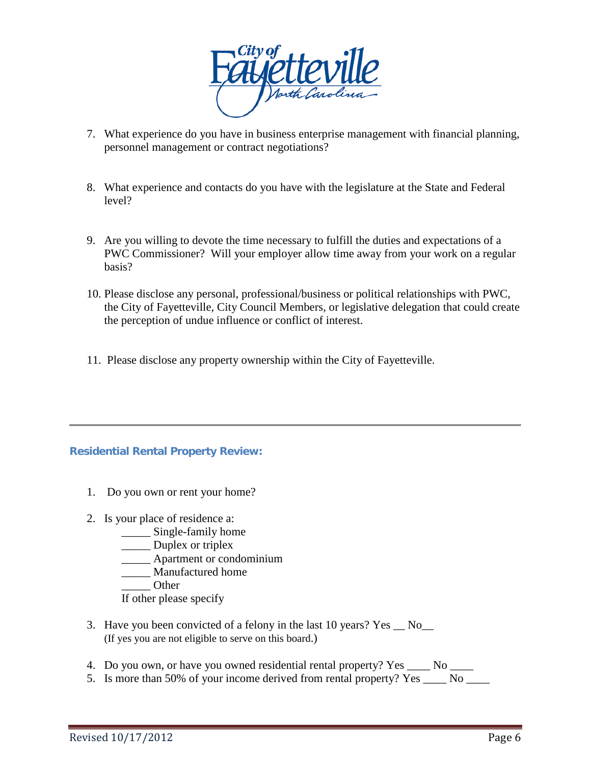

- 7. What experience do you have in business enterprise management with financial planning, personnel management or contract negotiations?
- 8. What experience and contacts do you have with the legislature at the State and Federal level?
- 9. Are you willing to devote the time necessary to fulfill the duties and expectations of a PWC Commissioner? Will your employer allow time away from your work on a regular basis?
- 10. Please disclose any personal, professional/business or political relationships with PWC, the City of Fayetteville, City Council Members, or legislative delegation that could create the perception of undue influence or conflict of interest.
- 11. Please disclose any property ownership within the City of Fayetteville.

# **Residential Rental Property Review:**

- 1. Do you own or rent your home?
- 2. Is your place of residence a:
	- \_\_\_\_\_ Single-family home
	- \_\_\_\_\_ Duplex or triplex
	- \_\_\_\_\_ Apartment or condominium
	- \_\_\_\_\_ Manufactured home
	- \_\_\_\_\_ Other
	- If other please specify
- 3. Have you been convicted of a felony in the last 10 years? Yes  $\_\,$  No $\_\,$ (If yes you are not eligible to serve on this board.)
- 4. Do you own, or have you owned residential rental property? Yes \_\_\_\_\_ No \_\_\_\_\_
- 5. Is more than 50% of your income derived from rental property? Yes \_\_\_\_ No \_\_\_\_